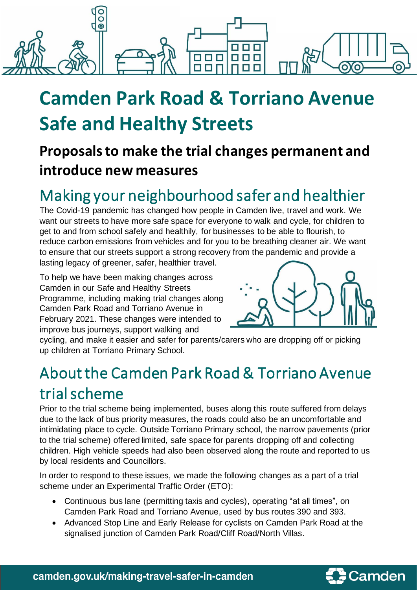

# **Camden Park Road & Torriano Avenue Safe and Healthy Streets**

### **Proposalsto make the trial changes permanent and introduce new measures**

## Making your neighbourhood safer and healthier

The Covid-19 pandemic has changed how people in Camden live, travel and work. We want our streets to have more safe space for everyone to walk and cycle, for children to get to and from school safely and healthily, for businesses to be able to flourish, to reduce carbon emissions from vehicles and for you to be breathing cleaner air. We want to ensure that our streets support a strong recovery from the pandemic and provide a lasting legacy of greener, safer, healthier travel.

To help we have been making changes across Camden in our Safe and Healthy Streets Programme, including making trial changes along Camden Park Road and Torriano Avenue in February 2021. These changes were intended to improve bus journeys, support walking and



cycling, and make it easier and safer for parents/carers who are dropping off or picking up children at Torriano Primary School.

### About the Camden Park Road & Torriano Avenue trial scheme

Prior to the trial scheme being implemented, buses along this route suffered from delays due to the lack of bus priority measures, the roads could also be an uncomfortable and intimidating place to cycle. Outside Torriano Primary school, the narrow pavements (prior to the trial scheme) offered limited, safe space for parents dropping off and collecting children. High vehicle speeds had also been observed along the route and reported to us by local residents and Councillors.

In order to respond to these issues, we made the following changes as a part of a trial scheme under an Experimental Traffic Order (ETO):

- Continuous bus lane (permitting taxis and cycles), operating "at all times", on Camden Park Road and Torriano Avenue, used by bus routes 390 and 393.
- Advanced Stop Line and Early Release for cyclists on Camden Park Road at the signalised junction of Camden Park Road/Cliff Road/North Villas.

camden.gov.uk/making-travel-safer-in-camden

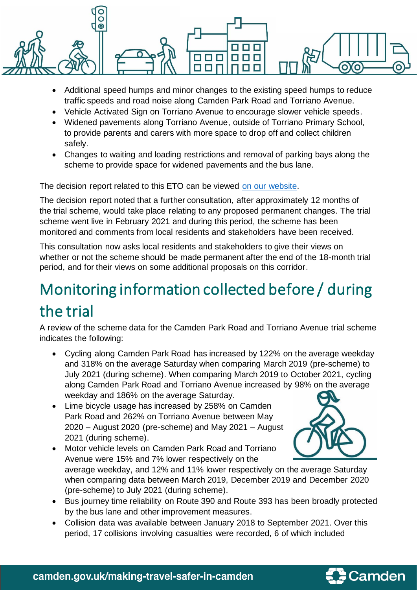

- Additional speed humps and minor changes to the existing speed humps to reduce traffic speeds and road noise along Camden Park Road and Torriano Avenue.
- Vehicle Activated Sign on Torriano Avenue to encourage slower vehicle speeds.
- Widened pavements along Torriano Avenue, outside of Torriano Primary School, to provide parents and carers with more space to drop off and collect children safely.
- Changes to waiting and loading restrictions and removal of parking bays along the scheme to provide space for widened pavements and the bus lane.

The decision report related to this ETO can be viewed [on our website.](https://democracy.camden.gov.uk/ieDecisionDetails.aspx?Id=3205)

The decision report noted that a further consultation, after approximately 12 months of the trial scheme, would take place relating to any proposed permanent changes. The trial scheme went live in February 2021 and during this period, the scheme has been monitored and comments from local residents and stakeholders have been received.

This consultation now asks local residents and stakeholders to give their views on whether or not the scheme should be made permanent after the end of the 18-month trial period, and for their views on some additional proposals on this corridor.

# Monitoring information collected before / during the trial

A review of the scheme data for the Camden Park Road and Torriano Avenue trial scheme indicates the following:

- Cycling along Camden Park Road has increased by 122% on the average weekday and 318% on the average Saturday when comparing March 2019 (pre-scheme) to July 2021 (during scheme). When comparing March 2019 to October 2021, cycling along Camden Park Road and Torriano Avenue increased by 98% on the average weekday and 186% on the average Saturday.
- Lime bicycle usage has increased by 258% on Camden Park Road and 262% on Torriano Avenue between May 2020 – August 2020 (pre-scheme) and May 2021 – August 2021 (during scheme).
- Motor vehicle levels on Camden Park Road and Torriano Avenue were 15% and 7% lower respectively on the



average weekday, and 12% and 11% lower respectively on the average Saturday when comparing data between March 2019, December 2019 and December 2020 (pre-scheme) to July 2021 (during scheme).

- Bus journey time reliability on Route 390 and Route 393 has been broadly protected by the bus lane and other improvement measures.
- Collision data was available between January 2018 to September 2021. Over this period, 17 collisions involving casualties were recorded, 6 of which included

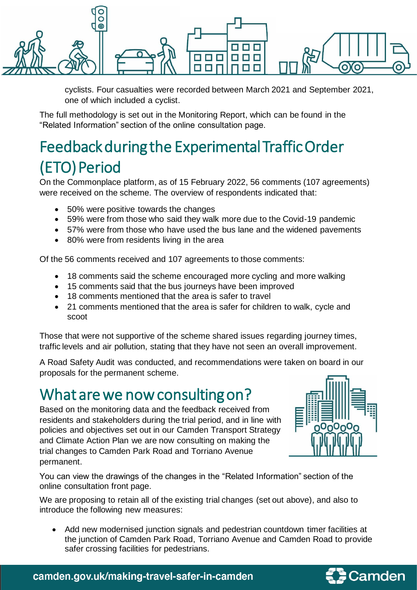

cyclists. Four casualties were recorded between March 2021 and September 2021, one of which included a cyclist.

The full methodology is set out in the Monitoring Report, which can be found in the "Related Information" section of the online consultation page.

## Feedback during the Experimental Traffic Order (ETO) Period

On the Commonplace platform, as of 15 February 2022, 56 comments (107 agreements) were received on the scheme. The overview of respondents indicated that:

- 50% were positive towards the changes
- 59% were from those who said they walk more due to the Covid-19 pandemic
- 57% were from those who have used the bus lane and the widened pavements
- 80% were from residents living in the area

Of the 56 comments received and 107 agreements to those comments:

- 18 comments said the scheme encouraged more cycling and more walking
- 15 comments said that the bus journeys have been improved
- 18 comments mentioned that the area is safer to travel
- 21 comments mentioned that the area is safer for children to walk, cycle and scoot

Those that were not supportive of the scheme shared issues regarding journey times, traffic levels and air pollution, stating that they have not seen an overall improvement.

A Road Safety Audit was conducted, and recommendations were taken on board in our proposals for the permanent scheme.

### What are we now consulting on?

Based on the monitoring data and the feedback received from residents and stakeholders during the trial period, and in line with policies and objectives set out in our Camden Transport Strategy and Climate Action Plan we are now consulting on making the trial changes to Camden Park Road and Torriano Avenue permanent.



You can view the drawings of the changes in the "Related Information" section of the online consultation front page.

We are proposing to retain all of the existing trial changes (set out above), and also to introduce the following new measures:

• Add new modernised junction signals and pedestrian countdown timer facilities at the junction of Camden Park Road, Torriano Avenue and Camden Road to provide safer crossing facilities for pedestrians.